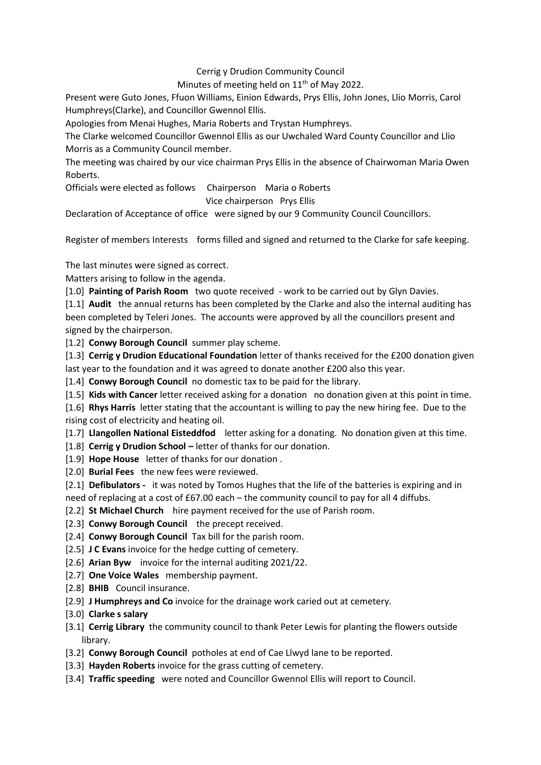## Cerrig y Drudion Community Council

Minutes of meeting held on 11<sup>th</sup> of May 2022.

Present were Guto Jones, Ffuon Williams, Einion Edwards, Prys Ellis, John Jones, Llio Morris, Carol Humphreys(Clarke), and Councillor Gwennol Ellis.

Apologies from Menai Hughes, Maria Roberts and Trystan Humphreys.

The Clarke welcomed Councillor Gwennol Ellis as our Uwchaled Ward County Councillor and Llio Morris as a Community Council member.

The meeting was chaired by our vice chairman Prys Ellis in the absence of Chairwoman Maria Owen Roberts.

Officials were elected as follows Chairperson Maria o Roberts

## Vice chairperson Prys Ellis

Declaration of Acceptance of office were signed by our 9 Community Council Councillors.

Register of members Interests forms filled and signed and returned to the Clarke for safe keeping.

The last minutes were signed as correct.

Matters arising to follow in the agenda.

[1.0] **Painting of Parish Room** two quote received - work to be carried out by Glyn Davies.

[1.1] **Audit** the annual returns has been completed by the Clarke and also the internal auditing has been completed by Teleri Jones. The accounts were approved by all the councillors present and signed by the chairperson.

[1.2] **Conwy Borough Council** summer play scheme.

[1.3] **Cerrig y Drudion Educational Foundation** letter of thanks received for the £200 donation given last year to the foundation and it was agreed to donate another £200 also this year.

[1.4] **Conwy Borough Council** no domestic tax to be paid for the library.

[1.5] **Kids with Cancer** letter received asking for a donation no donation given at this point in time.

[1.6] **Rhys Harris** letter stating that the accountant is willing to pay the new hiring fee. Due to the rising cost of electricity and heating oil.

- [1.7] **Llangollen National Eisteddfod** letter asking for a donating. No donation given at this time.
- [1.8] **Cerrig y Drudion School –** letter of thanks for our donation.
- [1.9] **Hope House** letter of thanks for our donation .
- [2.0] **Burial Fees** the new fees were reviewed.
- [2.1] **Defibulators -** it was noted by Tomos Hughes that the life of the batteries is expiring and in need of replacing at a cost of £67.00 each – the community council to pay for all 4 diffubs.
- [2.2] **St Michael Church** hire payment received for the use of Parish room.
- [2.3] **Conwy Borough Council** the precept received.
- [2.4] **Conwy Borough Council** Tax bill for the parish room.
- [2.5] **J C Evans** invoice for the hedge cutting of cemetery.
- [2.6] **Arian Byw** invoice for the internal auditing 2021/22.
- [2.7] **One Voice Wales** membership payment.
- [2.8] **BHIB** Council insurance.
- [2.9] **J Humphreys and Co** invoice for the drainage work caried out at cemetery.
- [3.0] **Clarke s salary**
- [3.1] **Cerrig Library** the community council to thank Peter Lewis for planting the flowers outside library.
- [3.2] **Conwy Borough Council** potholes at end of Cae Llwyd lane to be reported.
- [3.3] **Hayden Roberts** invoice for the grass cutting of cemetery.
- [3.4] **Traffic speeding** were noted and Councillor Gwennol Ellis will report to Council.